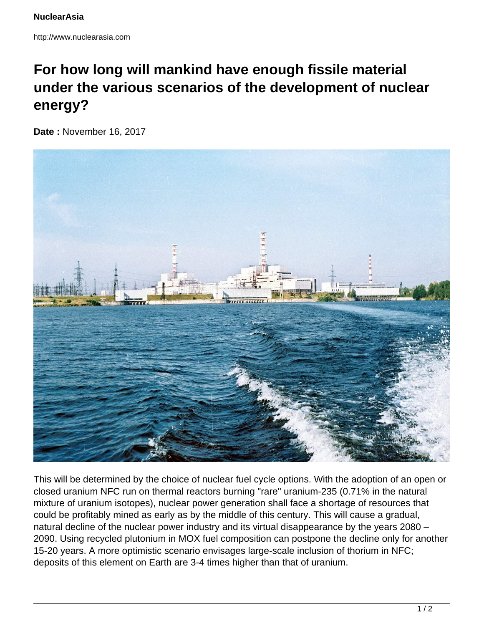## **For how long will mankind have enough fissile material under the various scenarios of the development of nuclear energy?**

**Date :** November 16, 2017



This will be determined by the choice of nuclear fuel cycle options. With the adoption of an open or closed uranium NFC run on thermal reactors burning "rare" uranium-235 (0.71% in the natural mixture of uranium isotopes), nuclear power generation shall face a shortage of resources that could be profitably mined as early as by the middle of this century. This will cause a gradual, natural decline of the nuclear power industry and its virtual disappearance by the years 2080 – 2090. Using recycled plutonium in MOX fuel composition can postpone the decline only for another 15-20 years. A more optimistic scenario envisages large-scale inclusion of thorium in NFC; deposits of this element on Earth are 3-4 times higher than that of uranium.